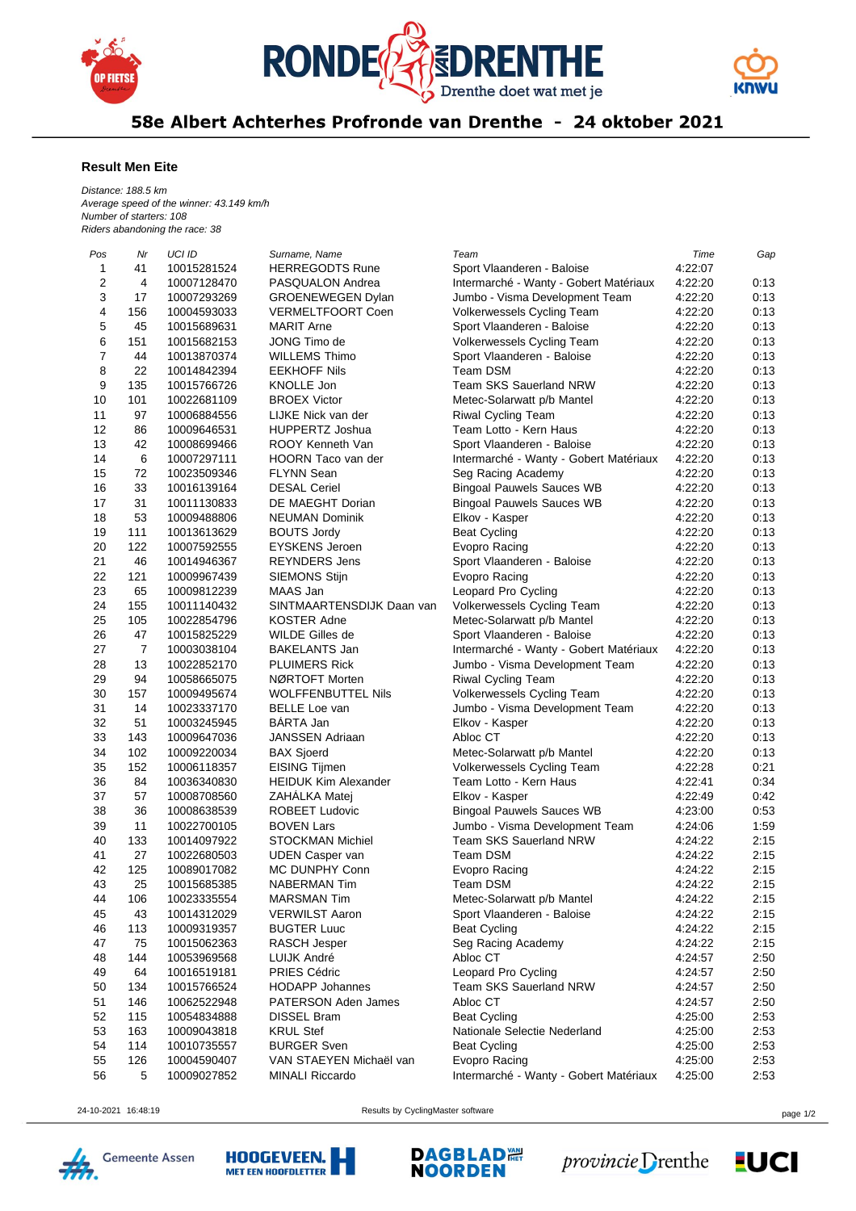





58e Albert Achterhes Profronde van Drenthe - 24 oktober 2021

## **Result Men Eite**

*Distance: 188.5 km Average speed of the winner: 43.149 km/h Number of starters: 108 Riders abandoning the race: 38*

| Pos | Nr             | UCI ID      | Surname, Name               | Team                                   | Time    | Gap  |
|-----|----------------|-------------|-----------------------------|----------------------------------------|---------|------|
| 1   | 41             | 10015281524 | <b>HERREGODTS Rune</b>      | Sport Vlaanderen - Baloise             | 4:22:07 |      |
| 2   | 4              | 10007128470 | PASQUALON Andrea            | Intermarché - Wanty - Gobert Matériaux | 4:22:20 | 0:13 |
| 3   | 17             | 10007293269 | <b>GROENEWEGEN Dylan</b>    | Jumbo - Visma Development Team         | 4:22:20 | 0:13 |
| 4   | 156            | 10004593033 | <b>VERMELTFOORT Coen</b>    | Volkerwessels Cycling Team             | 4:22:20 | 0:13 |
| 5   | 45             | 10015689631 | <b>MARIT Arne</b>           | Sport Vlaanderen - Baloise             | 4:22:20 | 0:13 |
| 6   | 151            | 10015682153 | JONG Timo de                | Volkerwessels Cycling Team             | 4:22:20 | 0:13 |
| 7   | 44             | 10013870374 | <b>WILLEMS Thimo</b>        | Sport Vlaanderen - Baloise             | 4:22:20 | 0:13 |
| 8   | 22             | 10014842394 | <b>EEKHOFF Nils</b>         | Team DSM                               | 4:22:20 | 0:13 |
| 9   | 135            | 10015766726 | KNOLLE Jon                  | <b>Team SKS Sauerland NRW</b>          | 4:22:20 | 0:13 |
| 10  | 101            | 10022681109 | <b>BROEX Victor</b>         | Metec-Solarwatt p/b Mantel             | 4:22:20 | 0:13 |
| 11  | 97             | 10006884556 | LIJKE Nick van der          | Riwal Cycling Team                     | 4:22:20 | 0:13 |
| 12  | 86             | 10009646531 | <b>HUPPERTZ Joshua</b>      | Team Lotto - Kern Haus                 | 4:22:20 | 0:13 |
| 13  | 42             | 10008699466 | ROOY Kenneth Van            | Sport Vlaanderen - Baloise             | 4:22:20 | 0:13 |
| 14  | 6              | 10007297111 | HOORN Taco van der          | Intermarché - Wanty - Gobert Matériaux | 4:22:20 | 0:13 |
| 15  | 72             | 10023509346 | <b>FLYNN Sean</b>           | Seg Racing Academy                     | 4:22:20 | 0:13 |
| 16  | 33             | 10016139164 | <b>DESAL Ceriel</b>         | <b>Bingoal Pauwels Sauces WB</b>       | 4:22:20 | 0:13 |
| 17  | 31             | 10011130833 | DE MAEGHT Dorian            | <b>Bingoal Pauwels Sauces WB</b>       | 4:22:20 | 0:13 |
| 18  | 53             | 10009488806 | <b>NEUMAN Dominik</b>       | Elkov - Kasper                         | 4:22:20 | 0:13 |
| 19  | 111            | 10013613629 | <b>BOUTS Jordy</b>          | <b>Beat Cycling</b>                    | 4:22:20 | 0:13 |
| 20  | 122            | 10007592555 | <b>EYSKENS</b> Jeroen       | Evopro Racing                          | 4:22:20 | 0:13 |
| 21  | 46             | 10014946367 | <b>REYNDERS Jens</b>        | Sport Vlaanderen - Baloise             | 4:22:20 | 0:13 |
| 22  | 121            | 10009967439 | <b>SIEMONS Stijn</b>        | Evopro Racing                          | 4:22:20 | 0:13 |
| 23  | 65             | 10009812239 | MAAS Jan                    | Leopard Pro Cycling                    | 4:22:20 | 0:13 |
| 24  | 155            | 10011140432 | SINTMAARTENSDIJK Daan van   | Volkerwessels Cycling Team             | 4:22:20 | 0:13 |
| 25  | 105            | 10022854796 | <b>KOSTER Adne</b>          | Metec-Solarwatt p/b Mantel             | 4:22:20 | 0:13 |
| 26  | 47             | 10015825229 | WILDE Gilles de             | Sport Vlaanderen - Baloise             | 4:22:20 | 0:13 |
| 27  | $\overline{7}$ | 10003038104 | <b>BAKELANTS Jan</b>        | Intermarché - Wanty - Gobert Matériaux | 4:22:20 | 0:13 |
| 28  | 13             | 10022852170 | <b>PLUIMERS Rick</b>        | Jumbo - Visma Development Team         | 4:22:20 | 0:13 |
| 29  | 94             | 10058665075 | NØRTOFT Morten              | Riwal Cycling Team                     | 4:22:20 | 0:13 |
| 30  | 157            | 10009495674 | <b>WOLFFENBUTTEL Nils</b>   | Volkerwessels Cycling Team             | 4:22:20 | 0:13 |
| 31  | 14             | 10023337170 | <b>BELLE Loe van</b>        | Jumbo - Visma Development Team         | 4:22:20 | 0:13 |
| 32  | 51             | 10003245945 | BÁRTA Jan                   | Elkov - Kasper                         | 4:22:20 | 0:13 |
| 33  | 143            | 10009647036 | <b>JANSSEN Adriaan</b>      | Abloc CT                               | 4:22:20 | 0:13 |
| 34  | 102            | 10009220034 | <b>BAX Sjoerd</b>           | Metec-Solarwatt p/b Mantel             | 4:22:20 | 0:13 |
| 35  | 152            | 10006118357 | EISING Tijmen               | Volkerwessels Cycling Team             | 4:22:28 | 0:21 |
| 36  | 84             | 10036340830 | <b>HEIDUK Kim Alexander</b> | Team Lotto - Kern Haus                 | 4:22:41 | 0:34 |
| 37  | 57             | 10008708560 | ZAHALKA Matej               | Elkov - Kasper                         | 4:22:49 | 0:42 |
| 38  | 36             | 10008638539 | <b>ROBEET Ludovic</b>       | <b>Bingoal Pauwels Sauces WB</b>       | 4:23:00 | 0:53 |
| 39  | 11             | 10022700105 | <b>BOVEN Lars</b>           | Jumbo - Visma Development Team         | 4:24:06 | 1:59 |
| 40  | 133            | 10014097922 | <b>STOCKMAN Michiel</b>     | <b>Team SKS Sauerland NRW</b>          | 4:24:22 | 2:15 |
| 41  | 27             | 10022680503 | <b>UDEN Casper van</b>      | Team DSM                               | 4:24:22 | 2:15 |
| 42  | 125            | 10089017082 | MC DUNPHY Conn              | Evopro Racing                          | 4:24:22 | 2:15 |
| 43  | 25             | 10015685385 | <b>NABERMAN Tim</b>         | Team DSM                               | 4:24:22 | 2:15 |
| 44  | 106            | 10023335554 | <b>MARSMAN Tim</b>          | Metec-Solarwatt p/b Mantel             | 4:24:22 | 2:15 |
| 45  | 43             | 10014312029 | <b>VERWILST Aaron</b>       | Sport Vlaanderen - Baloise             | 4:24:22 | 2:15 |
| 46  | 113            | 10009319357 | <b>BUGTER Luuc</b>          | <b>Beat Cycling</b>                    | 4:24:22 | 2:15 |
| 47  | 75             | 10015062363 | RASCH Jesper                | Seg Racing Academy                     | 4:24:22 | 2:15 |
| 48  | 144            | 10053969568 | LUIJK André                 | Abloc CT                               | 4:24:57 | 2:50 |
| 49  | 64             | 10016519181 | PRIES Cédric                | Leopard Pro Cycling                    | 4:24:57 | 2:50 |
| 50  | 134            | 10015766524 | <b>HODAPP Johannes</b>      | Team SKS Sauerland NRW                 | 4:24:57 | 2:50 |
| 51  | 146            | 10062522948 | <b>PATERSON Aden James</b>  | Abloc CT                               | 4:24:57 | 2:50 |
| 52  | 115            | 10054834888 | <b>DISSEL Bram</b>          | <b>Beat Cycling</b>                    | 4:25:00 | 2:53 |
| 53  | 163            | 10009043818 | <b>KRUL Stef</b>            | Nationale Selectie Nederland           | 4:25:00 | 2:53 |
| 54  | 114            | 10010735557 | <b>BURGER Sven</b>          | <b>Beat Cycling</b>                    | 4:25:00 | 2:53 |
| 55  | 126            | 10004590407 | VAN STAEYEN Michaël van     | Evopro Racing                          | 4:25:00 | 2:53 |
| 56  | 5              | 10009027852 | <b>MINALI Riccardo</b>      | Intermarché - Wanty - Gobert Matériaux | 4:25:00 | 2:53 |
|     |                |             |                             |                                        |         |      |

24-10-2021 16:48:19 Results by CyclingMaster software page 1/2





**DAGBLAD體**<br>NOORDEN

**FUCI**